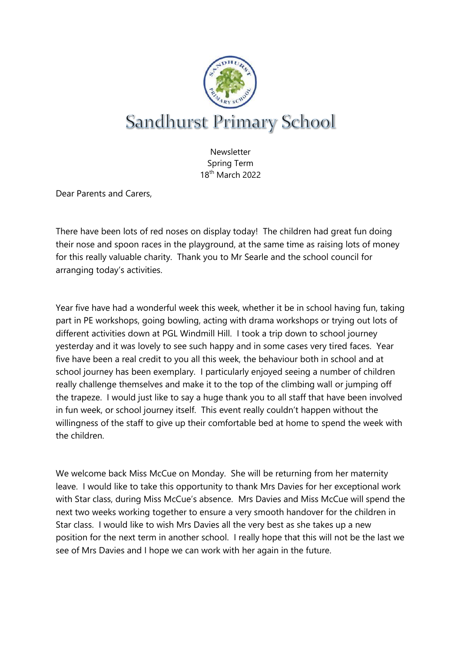

Newsletter Spring Term 18th March 2022

Dear Parents and Carers,

There have been lots of red noses on display today! The children had great fun doing their nose and spoon races in the playground, at the same time as raising lots of money for this really valuable charity. Thank you to Mr Searle and the school council for arranging today's activities.

Year five have had a wonderful week this week, whether it be in school having fun, taking part in PE workshops, going bowling, acting with drama workshops or trying out lots of different activities down at PGL Windmill Hill. I took a trip down to school journey yesterday and it was lovely to see such happy and in some cases very tired faces. Year five have been a real credit to you all this week, the behaviour both in school and at school journey has been exemplary. I particularly enjoyed seeing a number of children really challenge themselves and make it to the top of the climbing wall or jumping off the trapeze. I would just like to say a huge thank you to all staff that have been involved in fun week, or school journey itself. This event really couldn't happen without the willingness of the staff to give up their comfortable bed at home to spend the week with the children.

We welcome back Miss McCue on Monday. She will be returning from her maternity leave. I would like to take this opportunity to thank Mrs Davies for her exceptional work with Star class, during Miss McCue's absence. Mrs Davies and Miss McCue will spend the next two weeks working together to ensure a very smooth handover for the children in Star class. I would like to wish Mrs Davies all the very best as she takes up a new position for the next term in another school. I really hope that this will not be the last we see of Mrs Davies and I hope we can work with her again in the future.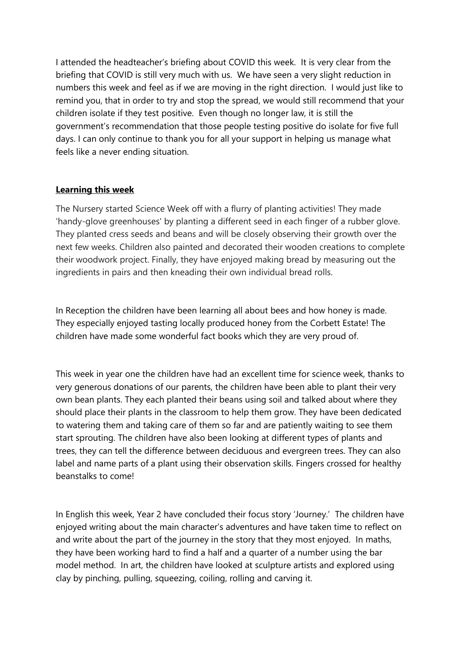I attended the headteacher's briefing about COVID this week. It is very clear from the briefing that COVID is still very much with us. We have seen a very slight reduction in numbers this week and feel as if we are moving in the right direction. I would just like to remind you, that in order to try and stop the spread, we would still recommend that your children isolate if they test positive. Even though no longer law, it is still the government's recommendation that those people testing positive do isolate for five full days. I can only continue to thank you for all your support in helping us manage what feels like a never ending situation.

## **Learning this week**

The Nursery started Science Week off with a flurry of planting activities! They made 'handy-glove greenhouses' by planting a different seed in each finger of a rubber glove. They planted cress seeds and beans and will be closely observing their growth over the next few weeks. Children also painted and decorated their wooden creations to complete their woodwork project. Finally, they have enjoyed making bread by measuring out the ingredients in pairs and then kneading their own individual bread rolls.

In Reception the children have been learning all about bees and how honey is made. They especially enjoyed tasting locally produced honey from the Corbett Estate! The children have made some wonderful fact books which they are very proud of.

This week in year one the children have had an excellent time for science week, thanks to very generous donations of our parents, the children have been able to plant their very own bean plants. They each planted their beans using soil and talked about where they should place their plants in the classroom to help them grow. They have been dedicated to watering them and taking care of them so far and are patiently waiting to see them start sprouting. The children have also been looking at different types of plants and trees, they can tell the difference between deciduous and evergreen trees. They can also label and name parts of a plant using their observation skills. Fingers crossed for healthy beanstalks to come!

In English this week, Year 2 have concluded their focus story 'Journey.' The children have enjoyed writing about the main character's adventures and have taken time to reflect on and write about the part of the journey in the story that they most enjoyed. In maths, they have been working hard to find a half and a quarter of a number using the bar model method. In art, the children have looked at sculpture artists and explored using clay by pinching, pulling, squeezing, coiling, rolling and carving it.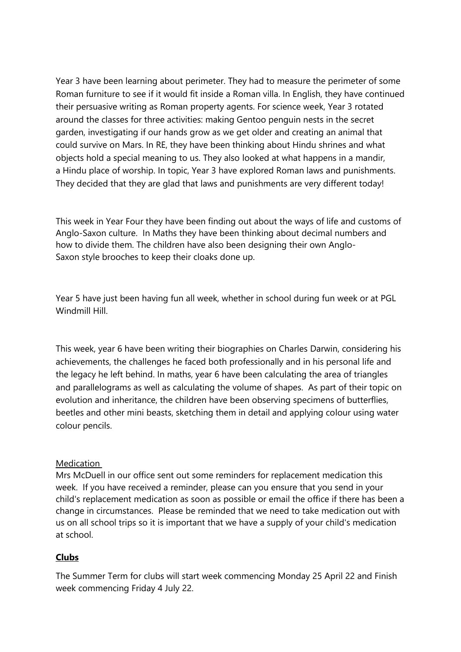Year 3 have been learning about perimeter. They had to measure the perimeter of some Roman furniture to see if it would fit inside a Roman villa. In English, they have continued their persuasive writing as Roman property agents. For science week, Year 3 rotated around the classes for three activities: making Gentoo penguin nests in the secret garden, investigating if our hands grow as we get older and creating an animal that could survive on Mars. In RE, they have been thinking about Hindu shrines and what objects hold a special meaning to us. They also looked at what happens in a mandir, a Hindu place of worship. In topic, Year 3 have explored Roman laws and punishments. They decided that they are glad that laws and punishments are very different today!

This week in Year Four they have been finding out about the ways of life and customs of Anglo-Saxon culture. In Maths they have been thinking about decimal numbers and how to divide them. The children have also been designing their own Anglo-Saxon style brooches to keep their cloaks done up.

Year 5 have just been having fun all week, whether in school during fun week or at PGL Windmill Hill

This week, year 6 have been writing their biographies on Charles Darwin, considering his achievements, the challenges he faced both professionally and in his personal life and the legacy he left behind. In maths, year 6 have been calculating the area of triangles and parallelograms as well as calculating the volume of shapes. As part of their topic on evolution and inheritance, the children have been observing specimens of butterflies, beetles and other mini beasts, sketching them in detail and applying colour using water colour pencils.

## Medication

Mrs McDuell in our office sent out some reminders for replacement medication this week. If you have received a reminder, please can you ensure that you send in your child's replacement medication as soon as possible or email the office if there has been a change in circumstances. Please be reminded that we need to take medication out with us on all school trips so it is important that we have a supply of your child's medication at school.

## **Clubs**

The Summer Term for clubs will start week commencing Monday 25 April 22 and Finish week commencing Friday 4 July 22.